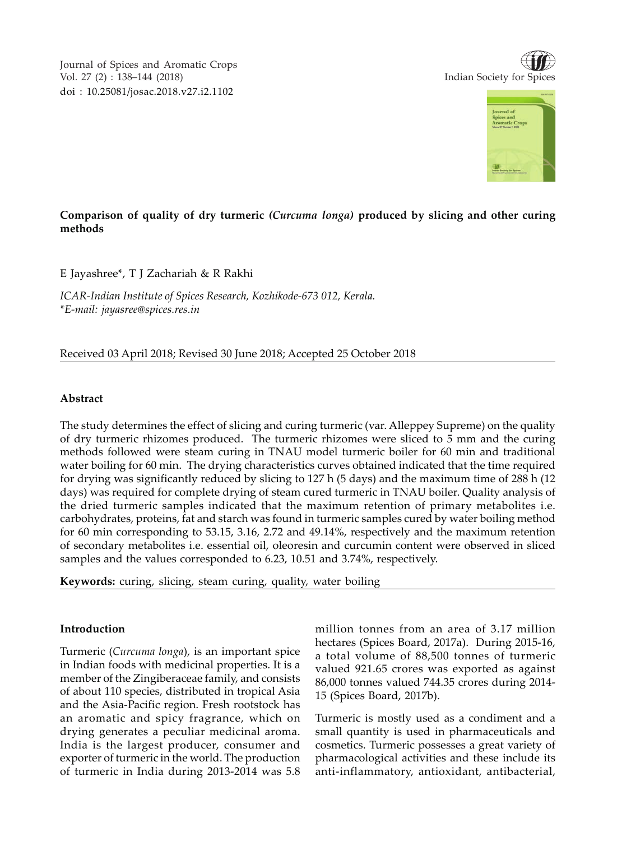Journal of Spices and Aromatic Crops Vol. 27 (2) : 138–144 (2018) Indian Society for Spices doi : 10.25081/josac.2018.v27.i2.1102





# **Comparison of quality of dry turmeric** *(Curcuma longa)* **produced by slicing and other curing methods**

E Jayashree\*, T J Zachariah & R Rakhi

*ICAR-Indian Institute of Spices Research, Kozhikode-673 012, Kerala. \*E-mail: jayasree@spices.res.in*

Received 03 April 2018; Revised 30 June 2018; Accepted 25 October 2018

# **Abstract**

The study determines the effect of slicing and curing turmeric (var. Alleppey Supreme) on the quality of dry turmeric rhizomes produced. The turmeric rhizomes were sliced to 5 mm and the curing methods followed were steam curing in TNAU model turmeric boiler for 60 min and traditional water boiling for 60 min. The drying characteristics curves obtained indicated that the time required for drying was significantly reduced by slicing to 127 h (5 days) and the maximum time of 288 h (12 days) was required for complete drying of steam cured turmeric in TNAU boiler. Quality analysis of the dried turmeric samples indicated that the maximum retention of primary metabolites i.e. carbohydrates, proteins, fat and starch was found in turmeric samples cured by water boiling method for 60 min corresponding to 53.15, 3.16, 2.72 and 49.14%, respectively and the maximum retention of secondary metabolites i.e. essential oil, oleoresin and curcumin content were observed in sliced samples and the values corresponded to 6.23, 10.51 and 3.74%, respectively.

**Keywords:** curing, slicing, steam curing, quality, water boiling

## **Introduction**

Turmeric (*Curcuma longa*), is an important spice in Indian foods with medicinal properties. It is a member of the Zingiberaceae family, and consists of about 110 species, distributed in tropical Asia and the Asia-Pacific region. Fresh rootstock has an aromatic and spicy fragrance, which on drying generates a peculiar medicinal aroma. India is the largest producer, consumer and exporter of turmeric in the world. The production of turmeric in India during 2013-2014 was 5.8 million tonnes from an area of 3.17 million hectares (Spices Board, 2017a). During 2015-16, a total volume of 88,500 tonnes of turmeric valued 921.65 crores was exported as against 86,000 tonnes valued 744.35 crores during 2014- 15 (Spices Board, 2017b).

Turmeric is mostly used as a condiment and a small quantity is used in pharmaceuticals and cosmetics. Turmeric possesses a great variety of pharmacological activities and these include its anti-inflammatory, antioxidant, antibacterial,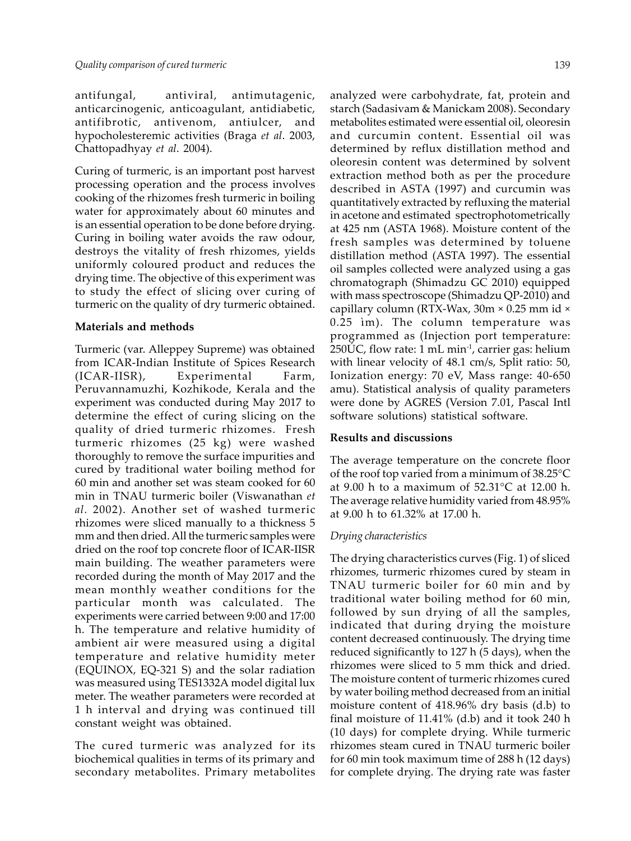antifungal, antiviral, antimutagenic, anticarcinogenic, anticoagulant, antidiabetic, antifibrotic, antivenom, antiulcer, and hypocholesteremic activities (Braga *et al*. 2003, Chattopadhyay *et al*. 2004).

Curing of turmeric, is an important post harvest processing operation and the process involves cooking of the rhizomes fresh turmeric in boiling water for approximately about 60 minutes and is an essential operation to be done before drying. Curing in boiling water avoids the raw odour, destroys the vitality of fresh rhizomes, yields uniformly coloured product and reduces the drying time. The objective of this experiment was to study the effect of slicing over curing of turmeric on the quality of dry turmeric obtained.

#### **Materials and methods**

Turmeric (var. Alleppey Supreme) was obtained from ICAR-Indian Institute of Spices Research (ICAR-IISR), Experimental Farm, Peruvannamuzhi, Kozhikode, Kerala and the experiment was conducted during May 2017 to determine the effect of curing slicing on the quality of dried turmeric rhizomes. Fresh turmeric rhizomes (25 kg) were washed thoroughly to remove the surface impurities and cured by traditional water boiling method for 60 min and another set was steam cooked for 60 min in TNAU turmeric boiler (Viswanathan *et al.* 2002). Another set of washed turmeric rhizomes were sliced manually to a thickness 5 mm and then dried. All the turmeric samples were dried on the roof top concrete floor of ICAR-IISR main building. The weather parameters were recorded during the month of May 2017 and the mean monthly weather conditions for the particular month was calculated. The experiments were carried between 9:00 and 17:00 h. The temperature and relative humidity of ambient air were measured using a digital temperature and relative humidity meter (EQUINOX, EQ-321 S) and the solar radiation was measured using TES1332A model digital lux meter. The weather parameters were recorded at 1 h interval and drying was continued till constant weight was obtained.

The cured turmeric was analyzed for its biochemical qualities in terms of its primary and secondary metabolites. Primary metabolites analyzed were carbohydrate, fat, protein and starch (Sadasivam & Manickam 2008). Secondary metabolites estimated were essential oil, oleoresin and curcumin content. Essential oil was determined by reflux distillation method and oleoresin content was determined by solvent extraction method both as per the procedure described in ASTA (1997) and curcumin was quantitatively extracted by refluxing the material in acetone and estimated spectrophotometrically at 425 nm (ASTA 1968). Moisture content of the fresh samples was determined by toluene distillation method (ASTA 1997). The essential oil samples collected were analyzed using a gas chromatograph (Shimadzu GC 2010) equipped with mass spectroscope (Shimadzu QP-2010) and capillary column (RTX-Wax, 30m × 0.25 mm id × 0.25 ìm). The column temperature was programmed as (Injection port temperature: 250ÚC, flow rate: 1 mL min<sup>-1</sup>, carrier gas: helium with linear velocity of 48.1 cm/s, Split ratio: 50, Ionization energy: 70 eV, Mass range: 40-650 amu). Statistical analysis of quality parameters were done by AGRES (Version 7.01, Pascal Intl software solutions) statistical software.

## **Results and discussions**

The average temperature on the concrete floor of the roof top varied from a minimum of 38.25°C at 9.00 h to a maximum of 52.31°C at 12.00 h. The average relative humidity varied from 48.95% at 9.00 h to 61.32% at 17.00 h.

#### *Drying characteristics*

The drying characteristics curves (Fig. 1) of sliced rhizomes, turmeric rhizomes cured by steam in TNAU turmeric boiler for 60 min and by traditional water boiling method for 60 min, followed by sun drying of all the samples, indicated that during drying the moisture content decreased continuously. The drying time reduced significantly to 127 h (5 days), when the rhizomes were sliced to 5 mm thick and dried. The moisture content of turmeric rhizomes cured by water boiling method decreased from an initial moisture content of 418.96% dry basis (d.b) to final moisture of 11.41% (d.b) and it took 240 h (10 days) for complete drying. While turmeric rhizomes steam cured in TNAU turmeric boiler for 60 min took maximum time of 288 h (12 days) for complete drying. The drying rate was faster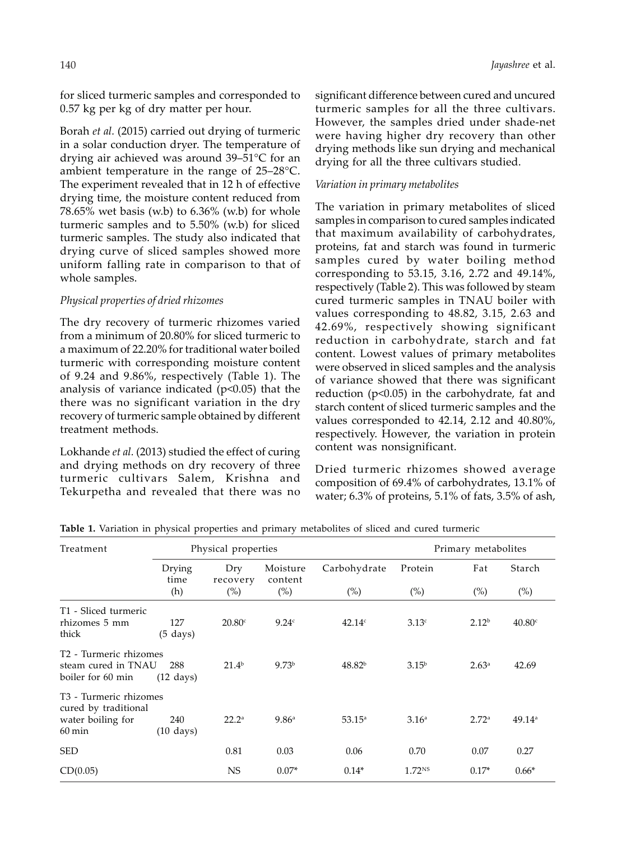for sliced turmeric samples and corresponded to 0.57 kg per kg of dry matter per hour.

Borah *et al.* (2015) carried out drying of turmeric in a solar conduction dryer. The temperature of drying air achieved was around 39–51°C for an ambient temperature in the range of 25–28°C. The experiment revealed that in 12 h of effective drying time, the moisture content reduced from  $78.65\%$  wet basis (w.b) to  $6.36\%$  (w.b) for whole turmeric samples and to 5.50% (w.b) for sliced turmeric samples. The study also indicated that drying curve of sliced samples showed more uniform falling rate in comparison to that of whole samples.

### *Physical properties of dried rhizomes*

The dry recovery of turmeric rhizomes varied from a minimum of 20.80% for sliced turmeric to a maximum of 22.20% for traditional water boiled turmeric with corresponding moisture content of 9.24 and 9.86%, respectively (Table 1). The analysis of variance indicated  $(p<0.05)$  that the there was no significant variation in the dry recovery of turmeric sample obtained by different treatment methods.

Lokhande *et al.* (2013) studied the effect of curing and drying methods on dry recovery of three turmeric cultivars Salem, Krishna and Tekurpetha and revealed that there was no significant difference between cured and uncured turmeric samples for all the three cultivars. However, the samples dried under shade-net were having higher dry recovery than other drying methods like sun drying and mechanical drying for all the three cultivars studied.

#### *Variation in primary metabolites*

The variation in primary metabolites of sliced samples in comparison to cured samples indicated that maximum availability of carbohydrates, proteins, fat and starch was found in turmeric samples cured by water boiling method corresponding to 53.15, 3.16, 2.72 and 49.14%, respectively (Table 2). This was followed by steam cured turmeric samples in TNAU boiler with values corresponding to 48.82, 3.15, 2.63 and 42.69%, respectively showing significant reduction in carbohydrate, starch and fat content. Lowest values of primary metabolites were observed in sliced samples and the analysis of variance showed that there was significant reduction (p<0.05) in the carbohydrate, fat and starch content of sliced turmeric samples and the values corresponded to 42.14, 2.12 and 40.80%, respectively. However, the variation in protein content was nonsignificant.

Dried turmeric rhizomes showed average composition of 69.4% of carbohydrates, 13.1% of water; 6.3% of proteins, 5.1% of fats, 3.5% of ash,

| Treatment                                                                                              |                            | Physical properties |                               |                    |                   | Primary metabolites |                    |  |
|--------------------------------------------------------------------------------------------------------|----------------------------|---------------------|-------------------------------|--------------------|-------------------|---------------------|--------------------|--|
|                                                                                                        | Drying<br>time             | Dry<br>recovery     | Moisture<br>content<br>$(\%)$ | Carbohydrate       | Protein           | Fat                 | Starch             |  |
|                                                                                                        | (h)                        | $(\%)$              |                               | (%)                | $(\%)$            | $(\%)$              | $(\%)$             |  |
| T1 - Sliced turmeric                                                                                   |                            |                     |                               |                    |                   |                     |                    |  |
| rhizomes 5 mm<br>thick                                                                                 | 127<br>$(5 \ days)$        | 20.80 <sup>c</sup>  | 9.24c                         | 42.14c             | 3.13c             | 2.12 <sup>b</sup>   | 40.80 <sup>c</sup> |  |
| T <sub>2</sub> - Turmeric rhizomes<br>steam cured in TNAU<br>boiler for 60 min                         | 288<br>$(12 \text{ days})$ | $21.4^{b}$          | 9.73 <sup>b</sup>             | 48.82 <sup>b</sup> | $3.15^{b}$        | 2.63 <sup>a</sup>   | 42.69              |  |
| T <sub>3</sub> - Turmeric rhizomes<br>cured by traditional<br>water boiling for<br>$60 \,\mathrm{min}$ | 240<br>$(10 \text{ days})$ | $22.2^{\circ}$      | 9.86 <sup>a</sup>             | $53.15^{\circ}$    | 3.16 <sup>a</sup> | 2.72 <sup>a</sup>   | $49.14^{\circ}$    |  |
| <b>SED</b>                                                                                             |                            | 0.81                | 0.03                          | 0.06               | 0.70              | 0.07                | 0.27               |  |
| CD(0.05)                                                                                               |                            | NS                  | $0.07*$                       | $0.14*$            | $1.72^{NS}$       | $0.17*$             | $0.66*$            |  |

**Table 1.** Variation in physical properties and primary metabolites of sliced and cured turmeric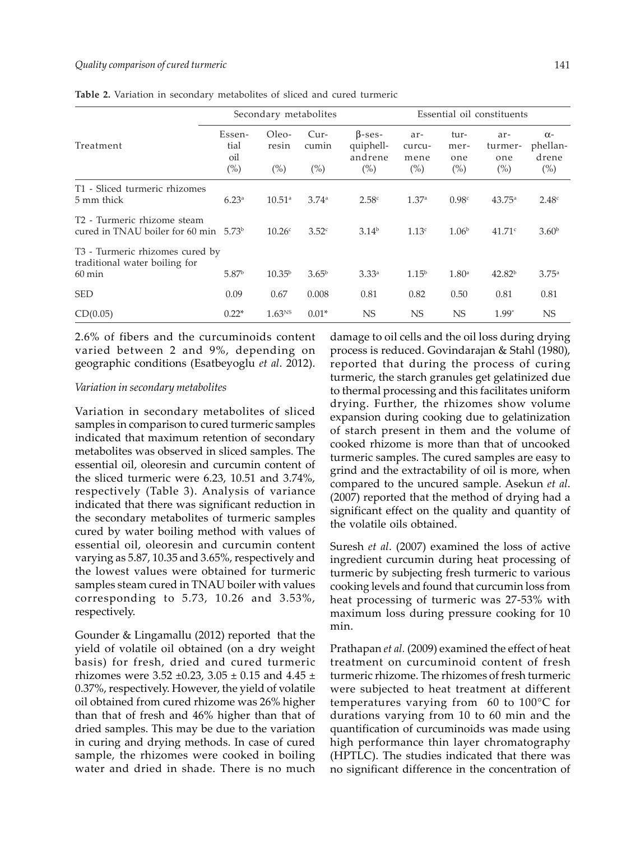|                                                                                         |                                 | Secondary metabolites    |                         | Essential oil constituents                      |                                 |                               |                                 |                                           |
|-----------------------------------------------------------------------------------------|---------------------------------|--------------------------|-------------------------|-------------------------------------------------|---------------------------------|-------------------------------|---------------------------------|-------------------------------------------|
| Treatment                                                                               | Essen-<br>tial<br>oil<br>$(\%)$ | Oleo-<br>resin<br>$(\%)$ | Cur-<br>cumin<br>$(\%)$ | $\beta$ -ses-<br>quiphell-<br>andrene<br>$(\%)$ | ar-<br>curcu-<br>mene<br>$(\%)$ | tur-<br>mer-<br>one<br>$(\%)$ | ar-<br>turmer-<br>one<br>$(\%)$ | $\alpha$ -<br>phellan-<br>drene<br>$(\%)$ |
| T1 - Sliced turmeric rhizomes<br>5 mm thick                                             | 6.23 <sup>a</sup>               | $10.51^{\circ}$          | $3.74^{\circ}$          | 2.58 <sup>c</sup>                               | 1.37 <sup>a</sup>               | 0.98 <sup>c</sup>             | $43.75^{\circ}$                 | 2.48c                                     |
| T2 - Turmeric rhizome steam<br>cured in TNAU boiler for 60 min $5.73^b$                 |                                 | 10.26 <sup>c</sup>       | 3.52 <sup>c</sup>       | 3.14 <sup>b</sup>                               | 1.13 <sup>c</sup>               | 1.06 <sup>b</sup>             | 41.71c                          | 3.60 <sup>b</sup>                         |
| T3 - Turmeric rhizomes cured by<br>traditional water boiling for<br>$60 \,\mathrm{min}$ | 5.87 <sup>b</sup>               | $10.35^{b}$              | $3.65^{\rm b}$          | 3.33 <sup>a</sup>                               | $1.15^{\rm b}$                  | 1.80 <sup>a</sup>             | 42.82 <sup>b</sup>              | 3.75 <sup>a</sup>                         |
| <b>SED</b>                                                                              | 0.09                            | 0.67                     | 0.008                   | 0.81                                            | 0.82                            | 0.50                          | 0.81                            | 0.81                                      |
| CD(0.05)                                                                                | $0.22*$                         | $1.63^{NS}$              | $0.01*$                 | NS                                              | <b>NS</b>                       | <b>NS</b>                     | $1.99*$                         | <b>NS</b>                                 |

**Table 2.** Variation in secondary metabolites of sliced and cured turmeric

2.6% of fibers and the curcuminoids content varied between 2 and 9%, depending on geographic conditions (Esatbeyoglu *et al*. 2012).

### *Variation in secondary metabolites*

Variation in secondary metabolites of sliced samples in comparison to cured turmeric samples indicated that maximum retention of secondary metabolites was observed in sliced samples. The essential oil, oleoresin and curcumin content of the sliced turmeric were 6.23, 10.51 and 3.74%, respectively (Table 3). Analysis of variance indicated that there was significant reduction in the secondary metabolites of turmeric samples cured by water boiling method with values of essential oil, oleoresin and curcumin content varying as 5.87, 10.35 and 3.65%, respectively and the lowest values were obtained for turmeric samples steam cured in TNAU boiler with values corresponding to 5.73, 10.26 and 3.53%, respectively.

Gounder & Lingamallu (2012) reported that the yield of volatile oil obtained (on a dry weight basis) for fresh, dried and cured turmeric rhizomes were 3.52  $\pm$ 0.23, 3.05  $\pm$  0.15 and 4.45  $\pm$ 0.37%, respectively. However, the yield of volatile oil obtained from cured rhizome was 26% higher than that of fresh and 46% higher than that of dried samples. This may be due to the variation in curing and drying methods. In case of cured sample, the rhizomes were cooked in boiling water and dried in shade. There is no much

damage to oil cells and the oil loss during drying process is reduced. Govindarajan & Stahl (1980), reported that during the process of curing turmeric, the starch granules get gelatinized due to thermal processing and this facilitates uniform drying. Further, the rhizomes show volume expansion during cooking due to gelatinization of starch present in them and the volume of cooked rhizome is more than that of uncooked turmeric samples. The cured samples are easy to grind and the extractability of oil is more, when compared to the uncured sample. Asekun *et al*. (2007) reported that the method of drying had a significant effect on the quality and quantity of the volatile oils obtained.

Suresh *et al*. (2007) examined the loss of active ingredient curcumin during heat processing of turmeric by subjecting fresh turmeric to various cooking levels and found that curcumin loss from heat processing of turmeric was 27-53% with maximum loss during pressure cooking for 10 min.

Prathapan *et al.* (2009) examined the effect of heat treatment on curcuminoid content of fresh turmeric rhizome. The rhizomes of fresh turmeric were subjected to heat treatment at different temperatures varying from 60 to 100°C for durations varying from 10 to 60 min and the quantification of curcuminoids was made using high performance thin layer chromatography (HPTLC). The studies indicated that there was no significant difference in the concentration of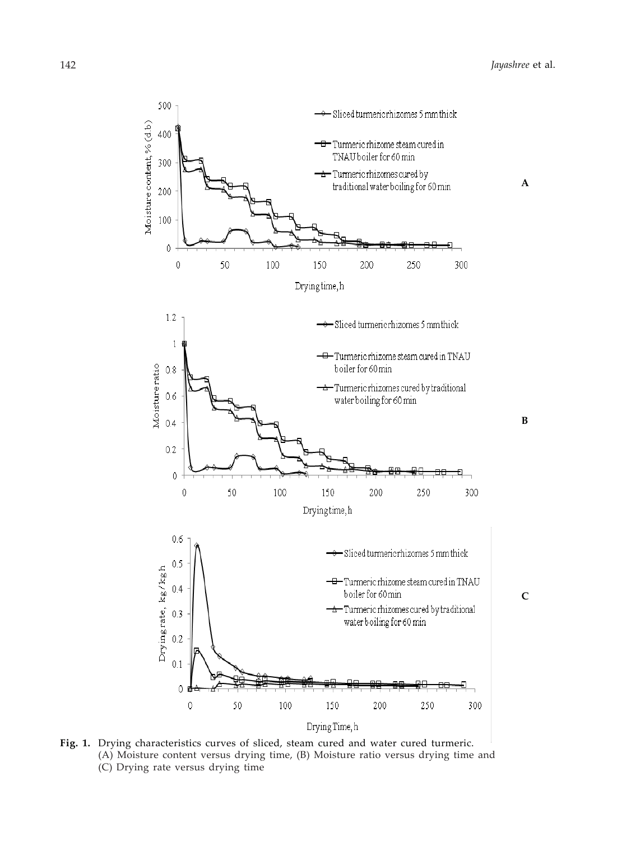

**Fig. 1.** Drying characteristics curves of sliced, steam cured and water cured turmeric. (A) Moisture content versus drying time, (B) Moisture ratio versus drying time and (C) Drying rate versus drying time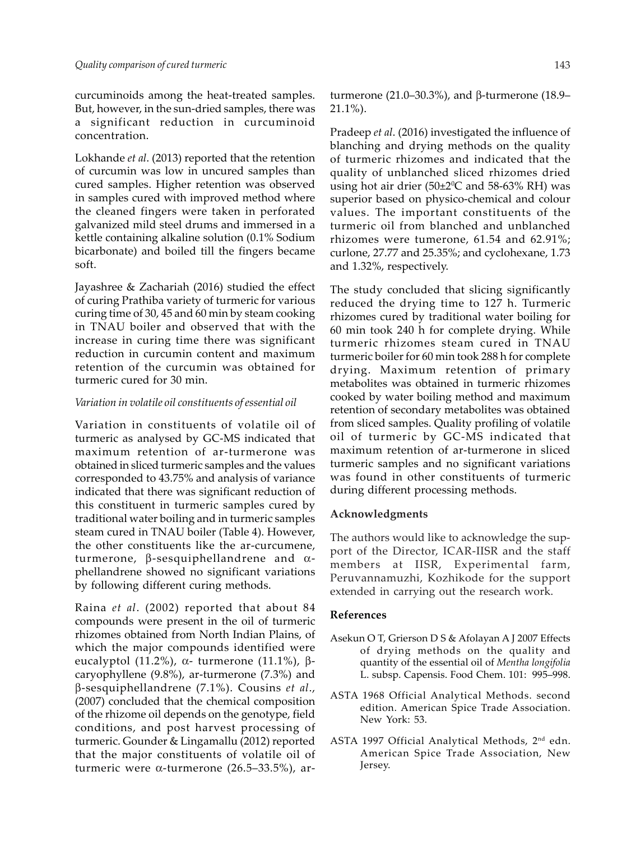curcuminoids among the heat-treated samples. But, however, in the sun-dried samples, there was a significant reduction in curcuminoid concentration.

Lokhande *et al*. (2013) reported that the retention of curcumin was low in uncured samples than cured samples. Higher retention was observed in samples cured with improved method where the cleaned fingers were taken in perforated galvanized mild steel drums and immersed in a kettle containing alkaline solution (0.1% Sodium bicarbonate) and boiled till the fingers became soft.

Jayashree & Zachariah (2016) studied the effect of curing Prathiba variety of turmeric for various curing time of 30, 45 and 60 min by steam cooking in TNAU boiler and observed that with the increase in curing time there was significant reduction in curcumin content and maximum retention of the curcumin was obtained for turmeric cured for 30 min.

#### *Variation in volatile oil constituents of essential oil*

Variation in constituents of volatile oil of turmeric as analysed by GC-MS indicated that maximum retention of ar-turmerone was obtained in sliced turmeric samples and the values corresponded to 43.75% and analysis of variance indicated that there was significant reduction of this constituent in turmeric samples cured by traditional water boiling and in turmeric samples steam cured in TNAU boiler (Table 4). However, the other constituents like the ar-curcumene, turmerone, β-sesquiphellandrene and αphellandrene showed no significant variations by following different curing methods.

Raina *et al*. (2002) reported that about 84 compounds were present in the oil of turmeric rhizomes obtained from North Indian Plains, of which the major compounds identified were eucalyptol (11.2%), α- turmerone (11.1%), βcaryophyllene (9.8%), ar-turmerone (7.3%) and β-sesquiphellandrene (7.1%). Cousins *et al*., (2007) concluded that the chemical composition of the rhizome oil depends on the genotype, field conditions, and post harvest processing of turmeric. Gounder & Lingamallu (2012) reported that the major constituents of volatile oil of turmeric were α-turmerone (26.5–33.5%), arturmerone (21.0–30.3%), and β-turmerone (18.9– 21.1%).

Pradeep *et al*. (2016) investigated the influence of blanching and drying methods on the quality of turmeric rhizomes and indicated that the quality of unblanched sliced rhizomes dried using hot air drier (50±2ºC and 58-63% RH) was superior based on physico-chemical and colour values. The important constituents of the turmeric oil from blanched and unblanched rhizomes were tumerone, 61.54 and 62.91%; curlone, 27.77 and 25.35%; and cyclohexane, 1.73 and 1.32%, respectively.

The study concluded that slicing significantly reduced the drying time to 127 h. Turmeric rhizomes cured by traditional water boiling for 60 min took 240 h for complete drying. While turmeric rhizomes steam cured in TNAU turmeric boiler for 60 min took 288 h for complete drying. Maximum retention of primary metabolites was obtained in turmeric rhizomes cooked by water boiling method and maximum retention of secondary metabolites was obtained from sliced samples. Quality profiling of volatile oil of turmeric by GC-MS indicated that maximum retention of ar-turmerone in sliced turmeric samples and no significant variations was found in other constituents of turmeric during different processing methods.

### **Acknowledgments**

The authors would like to acknowledge the support of the Director, ICAR-IISR and the staff members at IISR, Experimental farm, Peruvannamuzhi, Kozhikode for the support extended in carrying out the research work.

#### **References**

- Asekun O T, Grierson D S & Afolayan A J 2007 Effects of drying methods on the quality and quantity of the essential oil of *Mentha longifolia* L. subsp. Capensis. Food Chem. 101: 995–998.
- ASTA 1968 Official Analytical Methods. second edition. American Spice Trade Association. New York: 53.
- ASTA 1997 Official Analytical Methods, 2nd edn. American Spice Trade Association, New Jersey.